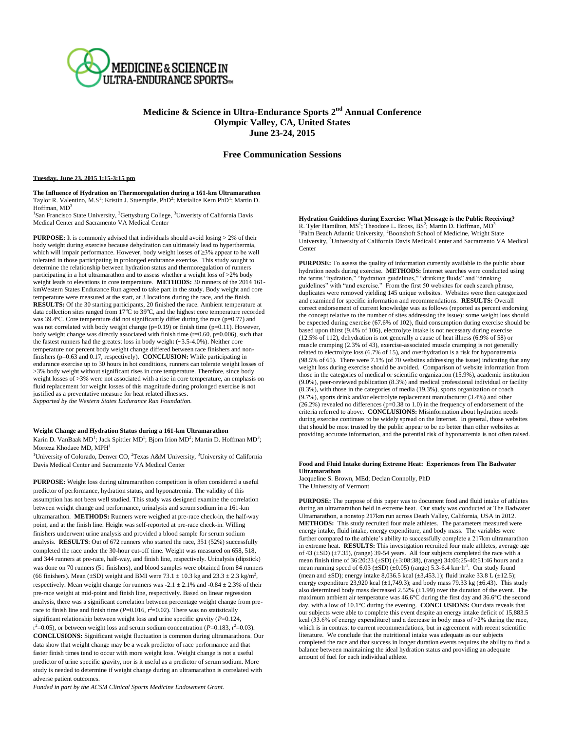

# **Medicine & Science in Ultra-Endurance Sports 2 nd Annual Conference Olympic Valley, CA, United States June 23-24, 2015**

# **Free Communication Sessions**

### **Tuesday, June 23, 2015 1:15-3:15 pm**

**The Influence of Hydration on Thermoregulation during a 161-km Ultramarathon** Taylor R. Valentino, M.S<sup>1</sup>; Kristin J. Stuempfle, PhD<sup>2</sup>; Marialice Kern PhD<sup>1</sup>; Martin D. Hoffman,  $MD<sup>3</sup>$ 

<sup>1</sup>San Francisco State University, <sup>2</sup>Gettysburg College, <sup>3</sup>Unveristy of California Davis Medical Center and Sacramento VA Medical Center

**PURPOSE:** It is commonly advised that individuals should avoid losing  $> 2\%$  of their body weight during exercise because dehydration can ultimately lead to hyperthermia, which will impair performance. However, body weight losses of ≥3% appear to be well tolerated in those participating in prolonged endurance exercise. This study sought to determine the relationship between hydration status and thermoregulation of runners participating in a hot ultramarathon and to assess whether a weight loss of >2% body weight leads to elevations in core temperature. **METHODS:** 30 runners of the 2014 161 kmWestern States Endurance Run agreed to take part in the study. Body weight and core temperature were measured at the start, at 3 locations during the race, and the finish. **RESULTS:** Of the 30 starting participants, 20 finished the race. Ambient temperature at data collection sites ranged from  $17^{\circ}$ C to  $39^{\circ}$ C, and the highest core temperature recorded was 39.4 $\degree$ C. Core temperature did not significantly differ during the race (p=0.77) and was not correlated with body weight change  $(p=0.19)$  or finish time  $(p=0.11)$ . However, body weight change was directly associated with finish time  $(r=0.60, p=0.006)$ , such that the fastest runners had the greatest loss in body weight  $(-3.5-4.0\%)$ . Neither core temperature nor percent body weight change differed between race finishers and nonfinishers (p=0.63 and 0.17, respectively). **CONCLUSION:** While participating in endurance exercise up to 30 hours in hot conditions, runners can tolerate weight losses of >3% body weight without significant rises in core temperature. Therefore, since body weight losses of >3% were not associated with a rise in core temperature, an emphasis on fluid replacement for weight losses of this magnitude during prolonged exercise is not justified as a preventative measure for heat related illnesses. *Supported by the Western States Endurance Run Foundation.* 

# **Weight Change and Hydration Status during a 161-km Ultramarathon**

Karin D. VanBaak MD<sup>1</sup>; Jack Spittler MD<sup>1</sup>; Bjorn Irion MD<sup>2</sup>; Martin D. Hoffman MD<sup>3</sup>; Morteza Khodaee MD, MPH<sup>1</sup>

<sup>1</sup>University of Colorado, Denver CO, <sup>2</sup>Texas A&M University, <sup>3</sup>University of California Davis Medical Center and Sacramento VA Medical Center

**PURPOSE:** Weight loss during ultramarathon competition is often considered a useful predictor of performance, hydration status, and hyponatremia. The validity of this assumption has not been well studied. This study was designed examine the correlation between weight change and performance, urinalysis and serum sodium in a 161-km ultramarathon. **METHODS:** Runners were weighed at pre-race check-in, the half-way point, and at the finish line. Height was self-reported at pre-race check-in. Willing finishers underwent urine analysis and provided a blood sample for serum sodium analysis. **RESULTS**: Out of 672 runners who started the race, 351 (52%) successfully completed the race under the 30-hour cut-off time. Weight was measured on 658, 518, and 344 runners at pre-race, half-way, and finish line, respectively. Urinalysis (dipstick) was done on 70 runners (51 finishers), and blood samples were obtained from 84 runners (66 finishers). Mean ( $\pm$ SD) weight and BMI were 73.1  $\pm$  10.3 kg and 23.3  $\pm$  2.3 kg/m<sup>2</sup>, respectively. Mean weight change for runners was  $-2.1 \pm 2.1\%$  and  $-0.84 \pm 2.3\%$  of their pre-race weight at mid-point and finish line, respectively. Based on linear regression analysis, there was a significant correlation between percentage weight change from prerace to finish line and finish time  $(P=0.016, r^2=0.02)$ . There was no statistically significant relationship between weight loss and urine specific gravity (*P*=0.124,  $r^2$ =0.05), or between weight loss and serum sodium concentration (*P*=0.183,  $r^2$ =0.03). **CONCLUSIONS:** Significant weight fluctuation is common during ultramarathons. Our data show that weight change may be a weak predictor of race performance and that faster finish times tend to occur with more weight loss. Weight change is not a useful predictor of urine specific gravity, nor is it useful as a predictor of serum sodium. More study is needed to determine if weight change during an ultramarathon is correlated with adverse patient outcomes.

*Funded in part by the ACSM Clinical Sports Medicine Endowment Grant.*

**Hydration Guidelines during Exercise: What Message is the Public Receiving?** R. Tyler Hamilton, MS<sup>1</sup>; Theodore L. Bross, BS<sup>2</sup>; Martin D. Hoffman, MD<sup>3</sup> <sup>1</sup>Palm Beach Atlantic University, <sup>2</sup>Boonshoft School of Medicine, Wright State University, <sup>3</sup>University of California Davis Medical Center and Sacramento VA Medical Center

**PURPOSE:** To assess the quality of information currently available to the public about hydration needs during exercise. **METHODS:** Internet searches were conducted using the terms "hydration," "hydration guidelines," "drinking fluids" and "drinking guidelines" with "and exercise." From the first 50 websites for each search phrase, duplicates were removed yielding 145 unique websites. Websites were then categorized and examined for specific information and recommendations. **RESULTS:** Overall correct endorsement of current knowledge was as follows (reported as percent endorsing the concept relative to the number of sites addressing the issue): some weight loss should be expected during exercise (67.6% of 102), fluid consumption during exercise should be based upon thirst (9.4% of 106), electrolyte intake is not necessary during exercise (12.5% of 112), dehydration is not generally a cause of heat illness (6.9% of 58) or muscle cramping (2.3% of 43), exercise-associated muscle cramping is not generally related to electrolyte loss (6.7% of 15), and overhydration is a risk for hyponatremia (98.5% of 65). There were 7.1% (of 70 websites addressing the issue) indicating that any weight loss during exercise should be avoided. Comparison of website information from those in the categories of medical or scientific organization (15.9%), academic institution (9.0%), peer-reviewed publication (8.3%) and medical professional individual or facility (8.3%), with those in the categories of media (19.3%), sports organization or coach (9.7%), sports drink and/or electrolyte replacement manufacturer (3.4%) and other (26.2%) revealed no differences (p=0.38 to 1.0) in the frequency of endorsement of the criteria referred to above. **CONCLUSIONS:** Misinformation about hydration needs during exercise continues to be widely spread on the Internet. In general, those websites that should be most trusted by the public appear to be no better than other websites at providing accurate information, and the potential risk of hyponatremia is not often raised.

#### **Food and Fluid Intake during Extreme Heat: Experiences from The Badwater Ultramarathon**

Jacqueline S. Brown, MEd; Declan Connolly, PhD The University of Vermont

**PURPOSE:** The purpose of this paper was to document food and fluid intake of athletes during an ultramarathon held in extreme heat. Our study was conducted at The Badwater Ultramarathon, a nonstop 217km run across Death Valley, California, USA in 2012. **METHODS:** This study recruited four male athletes. The parameters measured were energy intake, fluid intake, energy expenditure, and body mass. The variables were further compared to the athlete's ability to successfully complete a 217km ultramarathon in extreme heat. **RESULTS:** This investigation recruited four male athletes, average age of 43 ( $\pm$ SD) ( $\pm$ 7.35), (range) 39-54 years. All four subjects completed the race with a mean finish time of  $36:20:23 \text{ (±SD)} (\pm 3:08:38)$ , (range)  $34:05:25-40:51:46$  hours and a mean running speed of  $6.03 \text{ (±SD)}$   $(\pm 0.05)$  (range) 5.3-6.4 km·h<sup>-1</sup>. Our study found (mean and  $\pm$ SD); energy intake 8,036.5 kcal ( $\pm$ 3,453.1); fluid intake 33.8 L ( $\pm$ 12.5); energy expenditure 23,920 kcal  $(\pm 1,749.3)$ ; and body mass 79.33 kg ( $\pm 6.43$ ). This study also determined body mass decreased  $2.52\%$  ( $\pm 1.99$ ) over the duration of the event. The maximum ambient air temperature was 46.6°C during the first day and 36.6°C the second day, with a low of 10.1°C during the evening. **CONCLUSIONS:** Our data reveals that our subjects were able to complete this event despite an energy intake deficit of 15,883.5 kcal (33.6% of energy expenditure) and a decrease in body mass of >2% during the race, which is in contrast to current recommendations, but in agreement with recent scientific literature. We conclude that the nutritional intake was adequate as our subjects completed the race and that success in longer duration events requires the ability to find a balance between maintaining the ideal hydration status and providing an adequate amount of fuel for each individual athlete.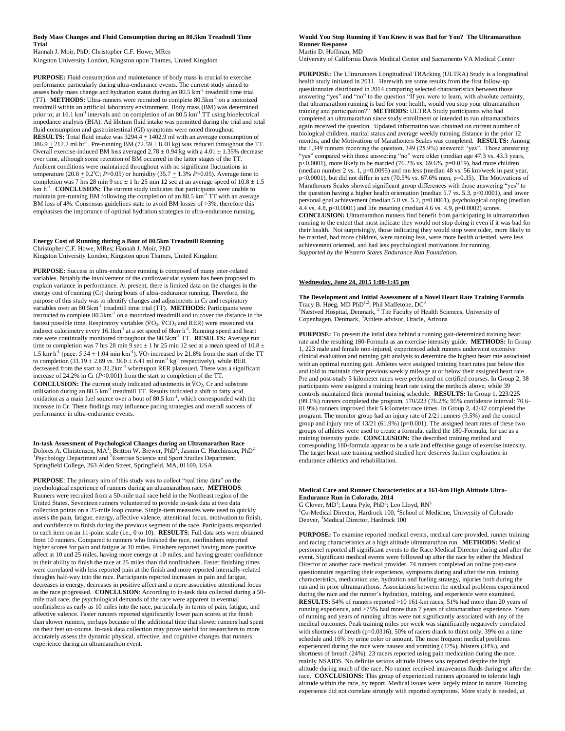#### **Body Mass Changes and Fluid Consumption during an 80.5km Treadmill Time Trial**

Hannah J. Moir, PhD; Christopher C.F. Howe, MRes Kingston University London, Kingston upon Thames, United Kingdom

**PURPOSE:** Fluid consumption and maintenance of body mass is crucial to exercise performance particularly during ultra-endurance events. The current study aimed to assess body mass change and hydration status during an 80.5 km<sup>-1</sup> treadmill time trial (TT). **METHODS:** Ultra-runners were recruited to complete 80.5km<sup>-1</sup> on a motorized treadmill within an artificial laboratory environment. Body mass (BM) was determined prior to; at 16.1 km<sup>-1</sup> intervals and on completion of an 80.5 km<sup>-1</sup> TT using bioelectrical impedance analysis (BIA). Ad libitum fluid intake was permitted during the trial and total fluid consumption and gastrointestinal (GI) symptoms were noted throughout. **RESULTS:** Total fluid intake was 3294.4 + 1402.9 ml with an average consumption of  $386.9 \pm 212.2$  ml·hr<sup>-1</sup>. Pre-running BM (72.59  $\pm$  8.48 kg) was reduced throughout the TT. Overall exercise-induced BM loss averaged  $2.78 \pm 0.94$  kg with a 4.01  $\pm$  1.35% decrease over time, although some retention of BM occurred in the latter stages of the TT. Ambient conditions were maintained throughout with no significant fluctuations in temperature  $(20.8 \pm 0.2^{\circ}\text{C}; P > 0.05)$  or humidity  $(35.7 \pm 1.3\% P > 0.05)$ . Average time to completion was 7 hrs 28 min 9 sec  $\pm$  1 hr 25 min 12 sec at an average speed of  $10.8 \pm 1.5$ km·h<sup>-1</sup>. **CONCLUSION:** The current study indicates that participants were unable to maintain pre-running BM following the completion of an 80.5 km<sup>-1</sup> TT with an average BM loss of 4%. Consensus guidelines state to avoid BM losses of >3%, therefore this emphasises the importance of optimal hydration strategies in ultra-endurance running.

#### **Energy Cost of Running during a Bout of 80.5km Treadmill Running** Christopher C.F. Howe, MRes; Hannah J. Moir, PhD Kingston University London, Kingston upon Thames, United Kingdom

**PURPOSE:** Success in ultra-endurance running is composed of many inter-related variables. Notably the involvement of the cardiovascular system has been proposed to explain variance in performance. At present, there is limited data on the changes in the energy cost of running (Cr) during bouts of ultra-endurance running. Therefore, the purpose of this study was to identify changes and adjustments in Cr and respiratory variables over an 80.5km<sup>-1</sup> treadmill time trial (TT). **METHODS:** Participants were instructed to complete 80.5km-1 on a motorized treadmill and to cover the distance in the fastest possible time. Respiratory variables  $(\rm VO_2, \rm VCO_2$  and RER) were measured via indirect calorimetry every  $16.1 \text{km}^{-1}$  at a set speed of  $8 \text{km} \cdot \text{h}^{-1}$ . Running speed and heart rate were continually monitored throughout the 80.5km-1 TT. **RESULTS:** Average run time to completion was 7 hrs 28 min 9 sec  $\pm$  1 hr 25 min 12 sec at a mean speed of 10.8  $\pm$ 1.5 km⋅h<sup>-1</sup> (pace: 5:34 ± 1:04 min⋅km<sup>-1</sup>). VO<sub>2</sub> increased by 21.8% from the start of the TT to completion  $(31.19 \pm 2.89 \text{ vs. } 38.0 \pm 6.41 \text{ ml} \cdot \text{min}^{-1} \cdot \text{kg}^{-1}$  respectively), while RER decreased from the start to 32.2km<sup>-1</sup> whereupon RER plateaued. There was a significant increase of 24.2% in Cr (*P*<0.001) from the start to completion of the TT. **CONCLUSION:** The current study indicated adjustments in  $VO<sub>2</sub>$ , Cr and substrate utilisation during an 80.5 km<sup>-1</sup> treadmill TT. Results indicated a shift to fatty acid oxidation as a main fuel source over a bout of 80.5 km<sup>-1</sup>, which corresponded with the increase in Cr. These findings may influence pacing strategies and overall success of performance in ultra-endurance events.

**In-task Assessment of Psychological Changes during an Ultramarathon Race** Dolores A. Christensen, MA<sup>1</sup>; Britton W. Brewer, PhD<sup>1</sup>; Jasmin C. Hutchinson, PhD<sup>2</sup> <sup>1</sup>Psychology Department and <sup>2</sup>Exercise Science and Sport Studies Department, Springfield College, 263 Alden Street, Springfield, MA, 01109, USA

**PURPOSE**: The primary aim of this study was to collect "real time data" on the psychological experience of runners during an ultramarathon race. **METHODS**: Runners were recruited from a 50-mile trail race held in the Northeast region of the United States. Seventeen runners volunteered to provide in-task data at two data collection points on a 25-mile loop course. Single-item measures were used to quickly assess the pain, fatigue, energy, affective valence, attentional focus, motivation to finish, and confidence to finish during the previous segment of the race. Participants responded to each item on an 11-point scale (i.e., 0 to 10). **RESULTS**: Full data sets were obtained from 10 runners. Compared to runners who finished the race, nonfinishers reported higher scores for pain and fatigue at 10 miles. Finishers reported having more positive affect at 10 and 25 miles, having more energy at 10 miles, and having greater confidence in their ability to finish the race at 25 miles than did nonfinishers. Faster finishing times were correlated with less reported pain at the finish and more reported internally-related thoughts half-way into the race. Participants reported increases in pain and fatigue, decreases in energy, decreases in positive affect and a more associative attentional focus as the race progressed. **CONCLUSION**: According to in-task data collected during a 50 mile trail race, the psychological demands of the race were apparent in eventual nonfinishers as early as 10 miles into the race, particularly in terms of pain, fatigue, and affective valence. Faster runners reported significantly lower pain scores at the finish than slower runners, perhaps because of the additional time that slower runners had spent on their feet on-course. In-task data collection may prove useful for researchers to more accurately assess the dynamic physical, affective, and cognitive changes that runners experience during an ultramarathon event.

#### **Would You Stop Running if You Knew it was Bad for You? The Ultramarathon Runner Response** Martin D. Hoffman, MD

University of California Davis Medical Center and Sacramento VA Medical Center

**PURPOSE:** The Ultrarunners Longitudinal TRAcking (ULTRA) Study is a longitudinal health study initiated in 2011. Herewith are some results from the first follow-up questionnaire distributed in 2014 comparing selected characteristics between those answering "yes" and "no" to the question "If you were to learn, with absolute certainty, that ultramarathon running is bad for your health, would you stop your ultramarathon training and participation?" **METHODS:** ULTRA Study participants who had completed an ultramarathon since study enrollment or intended to run ultramarathons again received the question. Updated information was obtained on current number of biological children, marital status and average weekly running distance in the prior 12 months, and the Motivations of Marathoners Scales was completed. **RESULTS:** Among the 1,349 runners receiving the question, 349 (25.9%) answered "yes". Those answering "yes" compared with those answering "no" were older (median age 47.3 vs. 43.3 years,  $p<0.0001$ ), more likely to be married (76.2% vs. 69.6%,  $p=0.019$ ), had more children (median number 2 vs. 1, p=0.0095) and ran less (median 48 vs. 56 km/week in past year,  $p<0.0001$ ), but did not differ in sex (70.5% vs. 67.6% men,  $p=0.35$ ). The Motivations of Marathoners Scales showed significant group differences with those answering "yes" to the question having a higher health orientation (median 5.7 vs. 5.3, p<0.0001), and lower personal goal achievement (median 5.0 vs. 5.2, p=0.0061), psychological coping (median 4.4 vs. 4.8, p<0.0001) and life meaning (median 4.6 vs. 4.9, p=0.0002) scores.

**CONCLUSION:** Ultramarathon runners find benefit from participating in ultramarathon running to the extent that most indicate they would not stop doing it even if it was bad for their health. Not surprisingly, those indicating they would stop were older, more likely to be married, had more children, were running less, were more health oriented, were less achievement oriented, and had less psychological motivations for running. *Supported by the Western States Endurance Run Foundation.* 

### **Wednesday, June 24, 2015 1:00-1:45 pm**

**The Development and Initial Assessment of a Novel Heart Rate Training Formula** Tracy B. Høeg, MD PhD<sup>1,2</sup>; Phil Maffetone, DC<sup>3</sup> <sup>1</sup>Næstved Hospital, Denmark, <sup>2</sup> The Faculty of Health Sciences, University of Copenhagen, Denmark, <sup>3</sup>Athlete advisor, Oracle, Arizona

**PURPOSE:** To present the intial data behind a running gait-determined training heart rate and the resulting 180-Formula as an exercise intensity guide. **METHODS:** In Group 1, 223 male and female non-injured, experienced adult runners underwent extensive clinical evaluation and running gait analysis to determine the highest heart rate associated with an optimal running gait. Athletes were assigned training heart rates just below this and told to maintain their previous weekly mileage at or below their assigned heart rate. Pre and post-study 5 kilometer races were performed on certified courses. In Group 2, 38 participants were assigned a training heart rate using the methods above, while 39 controls maintained their normal training schedule. **RESULTS:** In Group 1, 223/225 (99.1%) runners completed the program. 170/223 (76.2%; 95% confidence interval: 70.6- 81.9%) runners improved their 5 kilometer race times. In Group 2, 42/42 completed the program. The monitor group had an injury rate of 2/21 runners (9.5%) and the control group and injury rate of 13/21 (61.9%) (p=0.001). The assigned heart rates of these two groups of athletes were used to create a formula, called the 180-Formula, for use as a training intensity guide. **CONCLUSION:** The described training method and corresponding 180-formula appear to be a safe and effective gauge of exercise intensity. The target heart rate training method studied here deserves further exploration in endurance athletics and rehabilitation.

### **Medical Care and Runner Characteristics at a 161-km High Altitude Ultra-Endurance Run in Colorado, 2014**

G Clover, MD<sup>1</sup>; Laura Pyle, PhD<sup>2</sup>; Leo Lloyd, RN<sup>3</sup> <sup>1</sup>Co-Medical Director, Hardrock 100, <sup>2</sup>School of Medicine, University of Colorado Denver, <sup>3</sup>Medical Director, Hardrock 100

**PURPOSE:** To examine reported medical events, medical care provided, runner training and racing characteristics at a high altitude ultramarathon run. **METHODS:** Medical personnel reported all significant events to the Race Medical Director during and after the event. Significant medical events were followed up after the race by either the Medical Director or another race medical provider. 74 runners completed an online post-race questionnaire regarding their experience, symptoms during and after the run, training characteristics, medication use, hydration and fueling strategy, injuries both during the run and in prior ultramarathons. Associations between the medical problems experienced during the race and the runner's hydration, training, and experience were examined. **RESULTS:** 54% of runners reported >10 161-km races, 51% had more than 20 years of running experience, and >75% had more than 7 years of ultramarathon experience. Years of running and years of running ultras were not significantly associated with any of the medical outcomes. Peak training miles per week was significantly negatively correlated with shortness of breath ( $p=0.0316$ ). 50% of racers drank to thirst only, 39% on a time schedule and 16% by urine color or amount. The most frequent medical problems experienced during the race were nausea and vomiting (37%), blisters (34%), and shortness of breath (24%). 23 racers reported using pain medication during the race, mainly NSAIDS. No definite serious altitude illness was reported despite the high altitude during much of the race. No runner received intravenous fluids during or after the race. **CONCLUSIONS:** This group of experienced runners appeared to tolerate high altitude within the race, by report. Medical issues were largely minor in nature. Running experience did not correlate strongly with reported symptoms. More study is needed, at